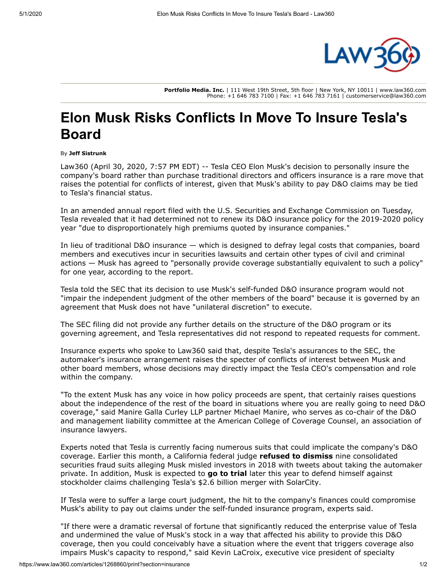

**Portfolio Media. Inc.** | 111 West 19th Street, 5th floor | New York, NY 10011 | www.law360.com Phone: +1 646 783 7100 | Fax: +1 646 783 7161 | customerservice@law360.com

## **Elon Musk Risks Conflicts In Move To Insure Tesla's Board**

## By **Jeff Sistrunk**

Law360 (April 30, 2020, 7:57 PM EDT) -- [Tesla CEO Elon Musk's](https://www.law360.com/companies/tesla-inc) decision to personally insure the company's board rather than purchase traditional directors and officers insurance is a rare move that raises the potential for conflicts of interest, given that Musk's ability to pay D&O claims may be tied to Tesla's financial status.

In an amended annual report filed with the [U.S. Securities and Exchange Commission](https://www.law360.com/agencies/securities-and-exchange-commission) on Tuesday, Tesla revealed that it had determined not to renew its D&O insurance policy for the 2019-2020 policy year "due to disproportionately high premiums quoted by insurance companies."

In lieu of traditional D&O insurance — which is designed to defray legal costs that companies, board members and executives incur in securities lawsuits and certain other types of civil and criminal actions — Musk has agreed to "personally provide coverage substantially equivalent to such a policy" for one year, according to the report.

Tesla told the SEC that its decision to use Musk's self-funded D&O insurance program would not "impair the independent judgment of the other members of the board" because it is governed by an agreement that Musk does not have "unilateral discretion" to execute.

The SEC filing did not provide any further details on the structure of the D&O program or its governing agreement, and Tesla representatives did not respond to repeated requests for comment.

Insurance experts who spoke to Law360 said that, despite Tesla's assurances to the SEC, the automaker's insurance arrangement raises the specter of conflicts of interest between Musk and other board members, whose decisions may directly impact the Tesla CEO's compensation and role within the company.

"To the extent Musk has any voice in how policy proceeds are spent, that certainly raises questions about the independence of the rest of the board in situations where you are really going to need D&O coverage," said Manire Galla Curley LLP partner Michael Manire, who serves as co-chair of the D&O and management liability committee at the American College of Coverage Counsel, an association of insurance lawyers.

Experts noted that Tesla is currently facing numerous suits that could implicate the company's D&O coverage. Earlier this month, a California federal judge **[refused to dismiss](https://www.law360.com/articles/1264066/tesla-can-t-shake-stock-suit-over-musk-s-take-private-tweets)** nine consolidated securities fraud suits alleging Musk misled investors in 2018 with tweets about taking the automaker private. In addition, Musk is expected to **[go to trial](https://www.law360.com/articles/1253225/coronavirus-moves-chancery-to-call-off-2-6b-tesla-trial)** later this year to defend himself against stockholder claims challenging Tesla's \$2.6 billion merger with [SolarCity.](https://www.law360.com/companies/solarcity-corp)

If Tesla were to suffer a large court judgment, the hit to the company's finances could compromise Musk's ability to pay out claims under the self-funded insurance program, experts said.

"If there were a dramatic reversal of fortune that significantly reduced the enterprise value of Tesla and undermined the value of Musk's stock in a way that affected his ability to provide this D&O coverage, then you could conceivably have a situation where the event that triggers coverage also impairs Musk's capacity to respond," said Kevin LaCroix, executive vice president of specialty